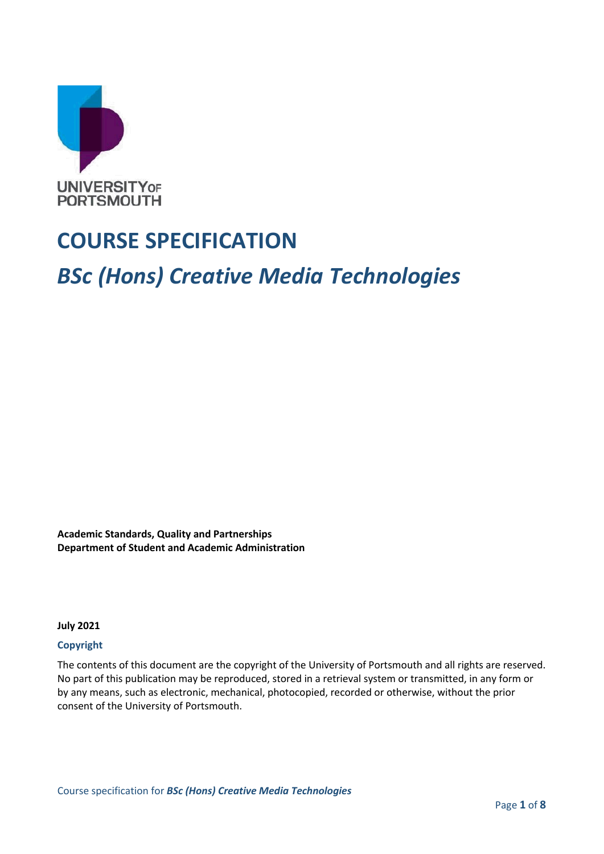

# **COURSE SPECIFICATION**

# *BSc (Hons) Creative Media Technologies*

**Academic Standards, Quality and Partnerships Department of Student and Academic Administration**

**July 2021**

#### **Copyright**

The contents of this document are the copyright of the University of Portsmouth and all rights are reserved. No part of this publication may be reproduced, stored in a retrieval system or transmitted, in any form or by any means, such as electronic, mechanical, photocopied, recorded or otherwise, without the prior consent of the University of Portsmouth.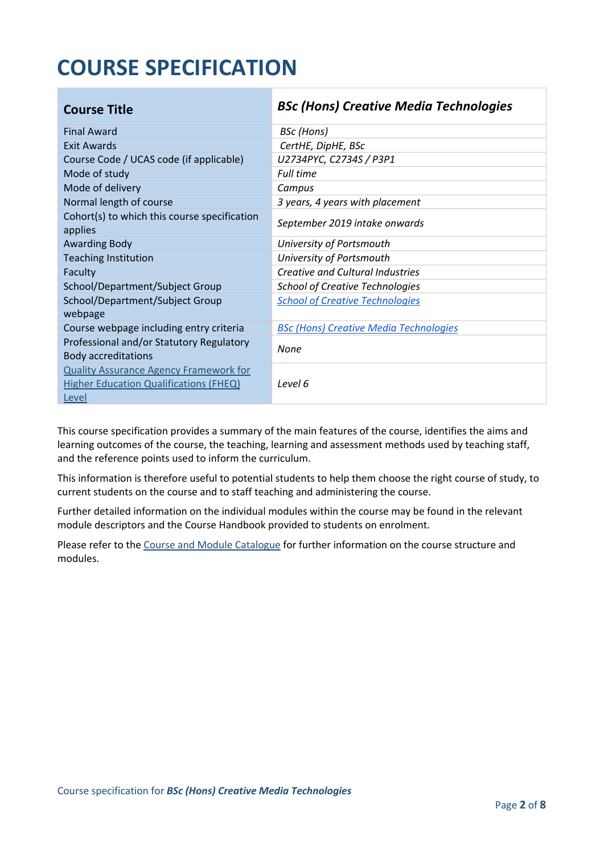# **COURSE SPECIFICATION**

| <b>Course Title</b>                                                                                     | <b>BSc (Hons) Creative Media Technologies</b> |
|---------------------------------------------------------------------------------------------------------|-----------------------------------------------|
| <b>Final Award</b>                                                                                      | <b>BSc</b> (Hons)                             |
| Exit Awards                                                                                             | CertHE, DipHE, BSc                            |
| Course Code / UCAS code (if applicable)                                                                 | U2734PYC, C2734S / P3P1                       |
| Mode of study                                                                                           | <b>Full time</b>                              |
| Mode of delivery                                                                                        | Campus                                        |
| Normal length of course                                                                                 | 3 years, 4 years with placement               |
| Cohort(s) to which this course specification<br>applies                                                 | September 2019 intake onwards                 |
| <b>Awarding Body</b>                                                                                    | University of Portsmouth                      |
| <b>Teaching Institution</b>                                                                             | University of Portsmouth                      |
| Faculty                                                                                                 | <b>Creative and Cultural Industries</b>       |
| School/Department/Subject Group                                                                         | <b>School of Creative Technologies</b>        |
| School/Department/Subject Group<br>webpage                                                              | <b>School of Creative Technologies</b>        |
| Course webpage including entry criteria                                                                 | <b>BSc (Hons) Creative Media Technologies</b> |
| Professional and/or Statutory Regulatory<br><b>Body accreditations</b>                                  | None                                          |
| <b>Quality Assurance Agency Framework for</b><br><b>Higher Education Qualifications (FHEQ)</b><br>Level | Level 6                                       |

This course specification provides a summary of the main features of the course, identifies the aims and learning outcomes of the course, the teaching, learning and assessment methods used by teaching staff, and the reference points used to inform the curriculum.

This information is therefore useful to potential students to help them choose the right course of study, to current students on the course and to staff teaching and administering the course.

Further detailed information on the individual modules within the course may be found in the relevant module descriptors and the Course Handbook provided to students on enrolment.

Please refer to the Course [and Module Catalogue](https://course-module-catalog.port.ac.uk/#/welcome) for further information on the course structure and modules.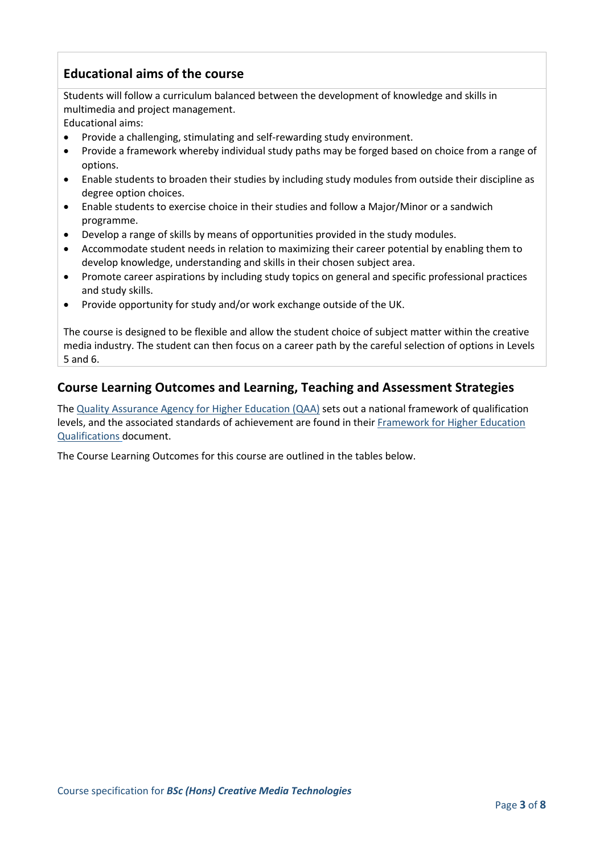# **Educational aims of the course**

Students will follow a curriculum balanced between the development of knowledge and skills in multimedia and project management.

Educational aims:

- Provide a challenging, stimulating and self-rewarding study environment.
- Provide a framework whereby individual study paths may be forged based on choice from a range of options.
- Enable students to broaden their studies by including study modules from outside their discipline as degree option choices.
- Enable students to exercise choice in their studies and follow a Major/Minor or a sandwich programme.
- Develop a range of skills by means of opportunities provided in the study modules.
- Accommodate student needs in relation to maximizing their career potential by enabling them to develop knowledge, understanding and skills in their chosen subject area.
- Promote career aspirations by including study topics on general and specific professional practices and study skills.
- Provide opportunity for study and/or work exchange outside of the UK.

The course is designed to be flexible and allow the student choice of subject matter within the creative media industry. The student can then focus on a career path by the careful selection of options in Levels 5 and 6.

## **Course Learning Outcomes and Learning, Teaching and Assessment Strategies**

The [Quality Assurance Agency for Higher Education \(QAA\)](http://www.qaa.ac.uk/en) sets out a national framework of qualification levels, and the associated standards of achievement are found in their Framework for Higher Education [Qualifications](https://www.qaa.ac.uk/quality-code/qualifications-frameworks) document.

The Course Learning Outcomes for this course are outlined in the tables below.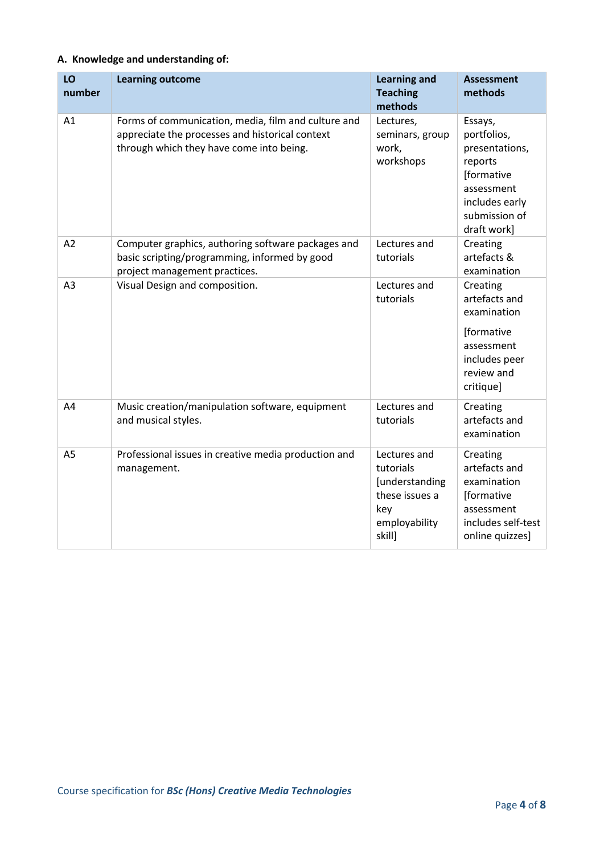## **A. Knowledge and understanding of:**

| LO<br>number   | <b>Learning outcome</b>                                                                                                                            | <b>Learning and</b><br><b>Teaching</b><br>methods                                               | <b>Assessment</b><br>methods                                                                                                      |
|----------------|----------------------------------------------------------------------------------------------------------------------------------------------------|-------------------------------------------------------------------------------------------------|-----------------------------------------------------------------------------------------------------------------------------------|
| A1             | Forms of communication, media, film and culture and<br>appreciate the processes and historical context<br>through which they have come into being. | Lectures,<br>seminars, group<br>work,<br>workshops                                              | Essays,<br>portfolios,<br>presentations,<br>reports<br>[formative<br>assessment<br>includes early<br>submission of<br>draft work] |
| A <sub>2</sub> | Computer graphics, authoring software packages and<br>basic scripting/programming, informed by good<br>project management practices.               | Lectures and<br>tutorials                                                                       | Creating<br>artefacts &<br>examination                                                                                            |
| A <sub>3</sub> | Visual Design and composition.                                                                                                                     | Lectures and<br>tutorials                                                                       | Creating<br>artefacts and<br>examination<br>[formative<br>assessment<br>includes peer<br>review and<br>critique]                  |
| A4             | Music creation/manipulation software, equipment<br>and musical styles.                                                                             | Lectures and<br>tutorials                                                                       | Creating<br>artefacts and<br>examination                                                                                          |
| A <sub>5</sub> | Professional issues in creative media production and<br>management.                                                                                | Lectures and<br>tutorials<br>[understanding<br>these issues a<br>key<br>employability<br>skill] | Creating<br>artefacts and<br>examination<br>[formative<br>assessment<br>includes self-test<br>online quizzes]                     |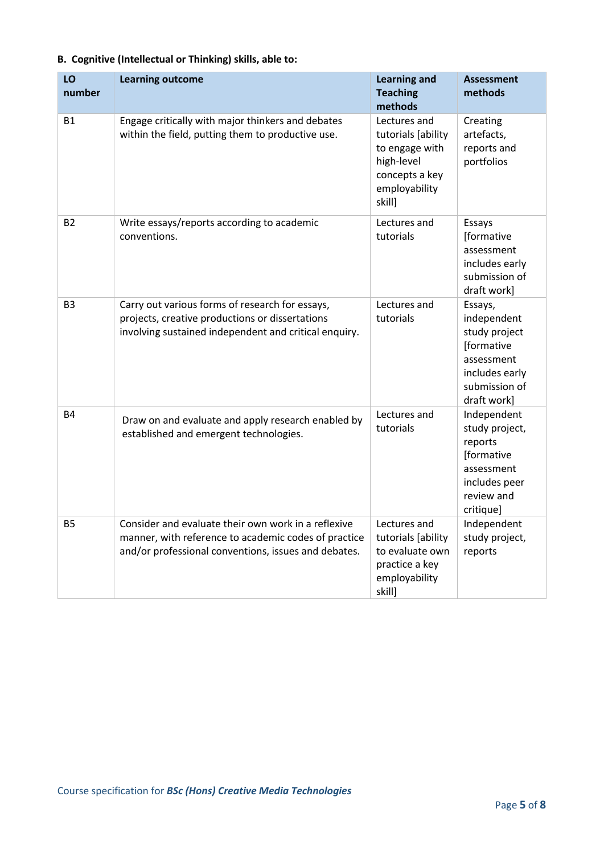| LO<br>number   | <b>Learning outcome</b>                                                                                                                                             | <b>Learning and</b><br><b>Teaching</b><br>methods                                                               | <b>Assessment</b><br>methods                                                                                          |
|----------------|---------------------------------------------------------------------------------------------------------------------------------------------------------------------|-----------------------------------------------------------------------------------------------------------------|-----------------------------------------------------------------------------------------------------------------------|
| <b>B1</b>      | Engage critically with major thinkers and debates<br>within the field, putting them to productive use.                                                              | Lectures and<br>tutorials [ability<br>to engage with<br>high-level<br>concepts a key<br>employability<br>skill] | Creating<br>artefacts,<br>reports and<br>portfolios                                                                   |
| B <sub>2</sub> | Write essays/reports according to academic<br>conventions.                                                                                                          | Lectures and<br>tutorials                                                                                       | Essays<br>[formative<br>assessment<br>includes early<br>submission of<br>draft work]                                  |
| B <sub>3</sub> | Carry out various forms of research for essays,<br>projects, creative productions or dissertations<br>involving sustained independent and critical enquiry.         | Lectures and<br>tutorials                                                                                       | Essays,<br>independent<br>study project<br>[formative<br>assessment<br>includes early<br>submission of<br>draft work] |
| <b>B4</b>      | Draw on and evaluate and apply research enabled by<br>established and emergent technologies.                                                                        | Lectures and<br>tutorials                                                                                       | Independent<br>study project,<br>reports<br>[formative<br>assessment<br>includes peer<br>review and<br>critique]      |
| <b>B5</b>      | Consider and evaluate their own work in a reflexive<br>manner, with reference to academic codes of practice<br>and/or professional conventions, issues and debates. | Lectures and<br>tutorials [ability<br>to evaluate own<br>practice a key<br>employability<br>skill]              | Independent<br>study project,<br>reports                                                                              |

## **B. Cognitive (Intellectual or Thinking) skills, able to:**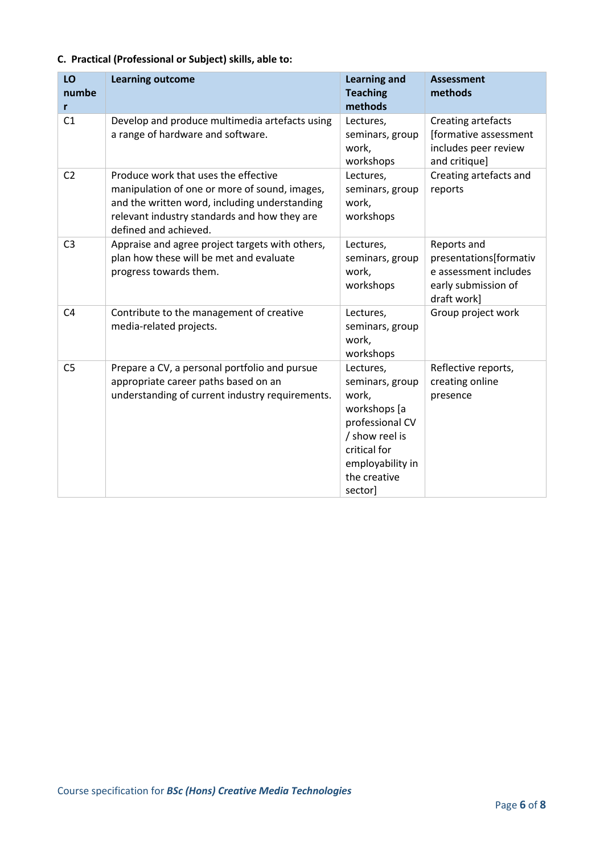## **C. Practical (Professional or Subject) skills, able to:**

| LO<br>numbe<br>r | <b>Learning outcome</b>                                                                                                                                                                                         | <b>Learning and</b><br><b>Teaching</b><br>methods                                                                                                         | <b>Assessment</b><br>methods                                                                         |
|------------------|-----------------------------------------------------------------------------------------------------------------------------------------------------------------------------------------------------------------|-----------------------------------------------------------------------------------------------------------------------------------------------------------|------------------------------------------------------------------------------------------------------|
| C <sub>1</sub>   | Develop and produce multimedia artefacts using<br>a range of hardware and software.                                                                                                                             | Lectures,<br>seminars, group<br>work,<br>workshops                                                                                                        | Creating artefacts<br>[formative assessment<br>includes peer review<br>and critique]                 |
| C <sub>2</sub>   | Produce work that uses the effective<br>manipulation of one or more of sound, images,<br>and the written word, including understanding<br>relevant industry standards and how they are<br>defined and achieved. | Lectures,<br>seminars, group<br>work,<br>workshops                                                                                                        | Creating artefacts and<br>reports                                                                    |
| C <sub>3</sub>   | Appraise and agree project targets with others,<br>plan how these will be met and evaluate<br>progress towards them.                                                                                            | Lectures,<br>seminars, group<br>work,<br>workshops                                                                                                        | Reports and<br>presentations[formativ<br>e assessment includes<br>early submission of<br>draft work] |
| C <sub>4</sub>   | Contribute to the management of creative<br>media-related projects.                                                                                                                                             | Lectures,<br>seminars, group<br>work,<br>workshops                                                                                                        | Group project work                                                                                   |
| C <sub>5</sub>   | Prepare a CV, a personal portfolio and pursue<br>appropriate career paths based on an<br>understanding of current industry requirements.                                                                        | Lectures,<br>seminars, group<br>work,<br>workshops [a<br>professional CV<br>/ show reel is<br>critical for<br>employability in<br>the creative<br>sector] | Reflective reports,<br>creating online<br>presence                                                   |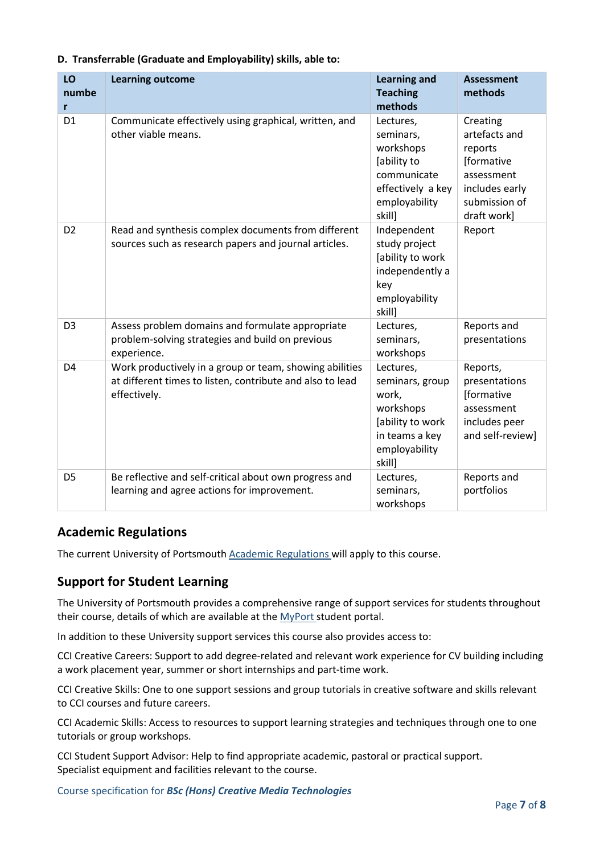| LO<br>numbe<br>r | <b>Learning outcome</b>                                                                                                              | <b>Learning and</b><br><b>Teaching</b><br>methods                                                                   | <b>Assessment</b><br>methods                                                                                       |
|------------------|--------------------------------------------------------------------------------------------------------------------------------------|---------------------------------------------------------------------------------------------------------------------|--------------------------------------------------------------------------------------------------------------------|
| D <sub>1</sub>   | Communicate effectively using graphical, written, and<br>other viable means.                                                         | Lectures,<br>seminars,<br>workshops<br>[ability to<br>communicate<br>effectively a key<br>employability<br>skill]   | Creating<br>artefacts and<br>reports<br>[formative<br>assessment<br>includes early<br>submission of<br>draft work] |
| D <sub>2</sub>   | Read and synthesis complex documents from different<br>sources such as research papers and journal articles.                         | Independent<br>study project<br>[ability to work<br>independently a<br>key<br>employability<br>skill]               | Report                                                                                                             |
| D <sub>3</sub>   | Assess problem domains and formulate appropriate<br>problem-solving strategies and build on previous<br>experience.                  | Lectures,<br>seminars,<br>workshops                                                                                 | Reports and<br>presentations                                                                                       |
| D <sub>4</sub>   | Work productively in a group or team, showing abilities<br>at different times to listen, contribute and also to lead<br>effectively. | Lectures,<br>seminars, group<br>work,<br>workshops<br>[ability to work<br>in teams a key<br>employability<br>skill] | Reports,<br>presentations<br>[formative<br>assessment<br>includes peer<br>and self-review]                         |
| D <sub>5</sub>   | Be reflective and self-critical about own progress and<br>learning and agree actions for improvement.                                | Lectures,<br>seminars,<br>workshops                                                                                 | Reports and<br>portfolios                                                                                          |

#### **D. Transferrable (Graduate and Employability) skills, able to:**

## **Academic Regulations**

The current University of Portsmouth [Academic Regulations](https://staff.port.ac.uk/departments/services/academicregistry/qmd/assessmentandregulations/) will apply to this course.

## **Support for Student Learning**

The University of Portsmouth provides a comprehensive range of support services for students throughout their course, details of which are available at the [MyPort](http://myport.ac.uk/) student portal.

In addition to these University support services this course also provides access to:

CCI Creative Careers: Support to add degree-related and relevant work experience for CV building including a work placement year, summer or short internships and part-time work.

CCI Creative Skills: One to one support sessions and group tutorials in creative software and skills relevant to CCI courses and future careers.

CCI Academic Skills: Access to resources to support learning strategies and techniques through one to one tutorials or group workshops.

CCI Student Support Advisor: Help to find appropriate academic, pastoral or practical support. Specialist equipment and facilities relevant to the course.

Course specification for *BSc (Hons) Creative Media Technologies*